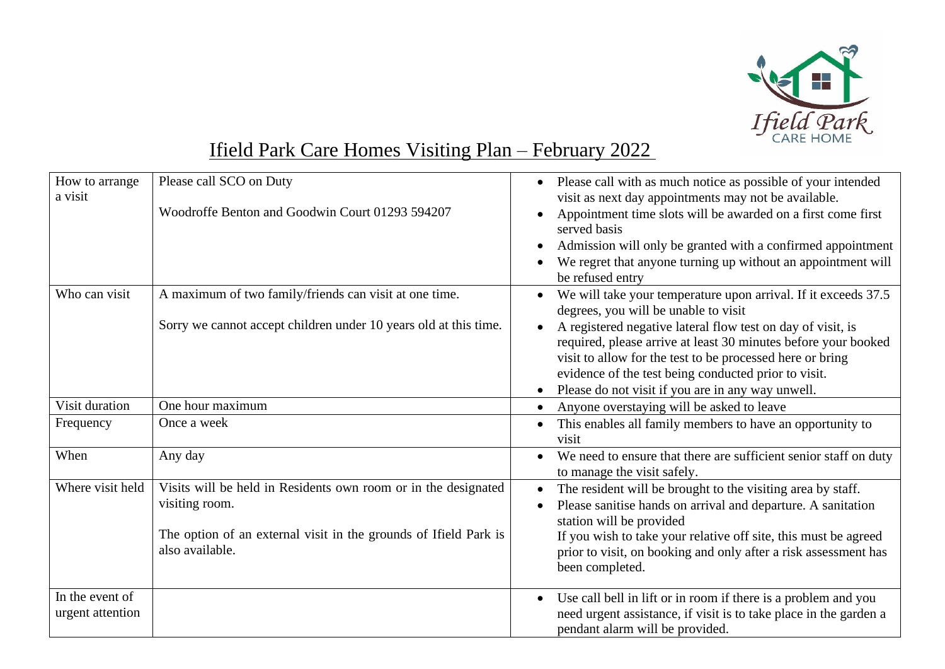

## Ifield Park Care Homes Visiting Plan – February 2022

| How to arrange<br>a visit           | Please call SCO on Duty<br>Woodroffe Benton and Goodwin Court 01293 594207                                                                                              | Please call with as much notice as possible of your intended<br>visit as next day appointments may not be available.<br>Appointment time slots will be awarded on a first come first<br>served basis<br>Admission will only be granted with a confirmed appointment<br>We regret that anyone turning up without an appointment will<br>be refused entry                                                           |
|-------------------------------------|-------------------------------------------------------------------------------------------------------------------------------------------------------------------------|-------------------------------------------------------------------------------------------------------------------------------------------------------------------------------------------------------------------------------------------------------------------------------------------------------------------------------------------------------------------------------------------------------------------|
| Who can visit                       | A maximum of two family/friends can visit at one time.<br>Sorry we cannot accept children under 10 years old at this time.                                              | We will take your temperature upon arrival. If it exceeds 37.5<br>degrees, you will be unable to visit<br>A registered negative lateral flow test on day of visit, is<br>required, please arrive at least 30 minutes before your booked<br>visit to allow for the test to be processed here or bring<br>evidence of the test being conducted prior to visit.<br>Please do not visit if you are in any way unwell. |
| Visit duration                      | One hour maximum                                                                                                                                                        | Anyone overstaying will be asked to leave                                                                                                                                                                                                                                                                                                                                                                         |
| Frequency                           | Once a week                                                                                                                                                             | This enables all family members to have an opportunity to<br>$\bullet$<br>visit                                                                                                                                                                                                                                                                                                                                   |
| When                                | Any day                                                                                                                                                                 | We need to ensure that there are sufficient senior staff on duty<br>to manage the visit safely.                                                                                                                                                                                                                                                                                                                   |
| Where visit held                    | Visits will be held in Residents own room or in the designated<br>visiting room.<br>The option of an external visit in the grounds of Ifield Park is<br>also available. | The resident will be brought to the visiting area by staff.<br>Please sanitise hands on arrival and departure. A sanitation<br>station will be provided<br>If you wish to take your relative off site, this must be agreed<br>prior to visit, on booking and only after a risk assessment has<br>been completed.                                                                                                  |
| In the event of<br>urgent attention |                                                                                                                                                                         | Use call bell in lift or in room if there is a problem and you<br>need urgent assistance, if visit is to take place in the garden a<br>pendant alarm will be provided.                                                                                                                                                                                                                                            |